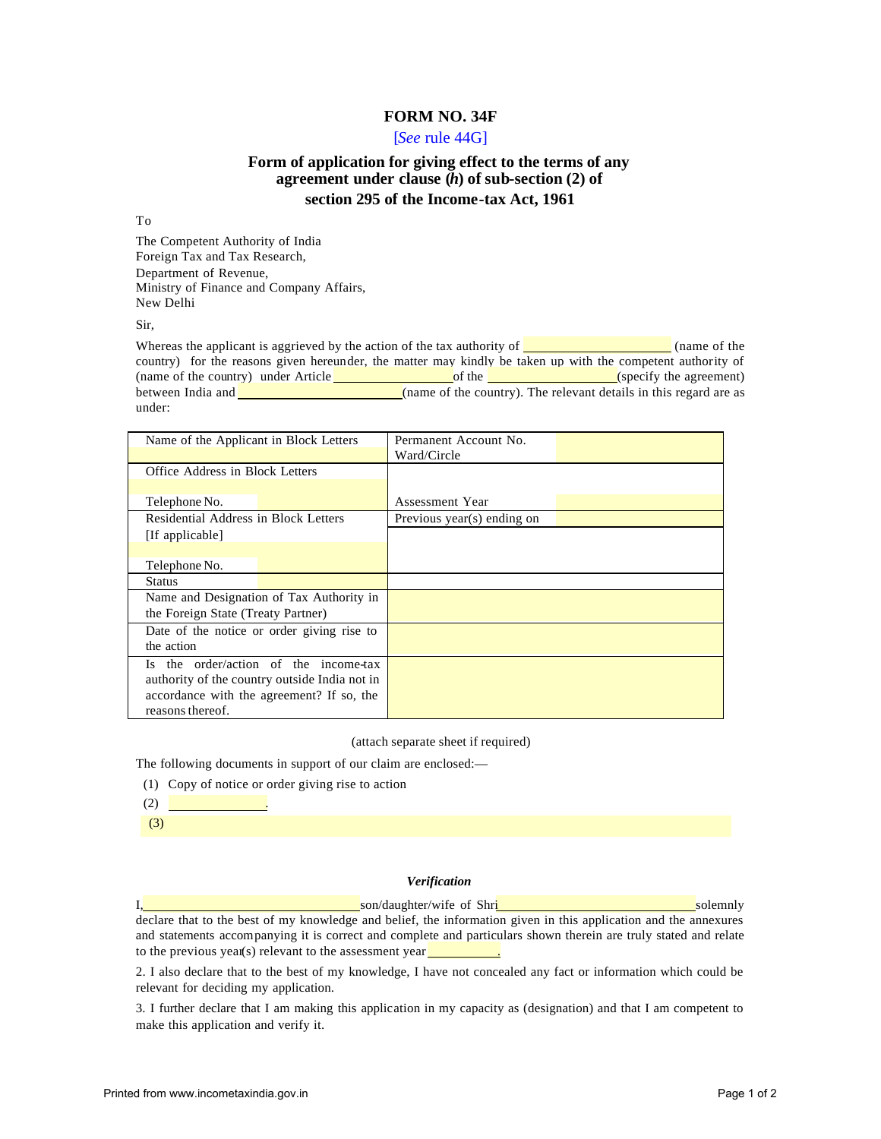## **FORM NO. 34F**

### [*See* rule 44G]

# **Form of application for giving effect to the terms of any agreement under clause (***h***) of sub-section (2) of section 295 of the Income-tax Act, 1961**

#### To

The Competent Authority of India Foreign Tax and Tax Research, Department of Revenue, Ministry of Finance and Company Affairs, New Delhi

Sir,

Whereas the applicant is aggrieved by the action of the tax authority of  $\sim$  (name of the country) for the reasons given hereunder, the matter may kindly be taken up with the competent authority of (name of the country) under Article **of the country** of the **country** (specify the agreement) between India and **(name of the country)**. The relevant details in this regard are as under:

| Name of the Applicant in Block Letters        |  | Permanent Account No.<br>Ward/Circle |  |
|-----------------------------------------------|--|--------------------------------------|--|
| Office Address in Block Letters               |  |                                      |  |
|                                               |  |                                      |  |
| Telephone No.                                 |  | Assessment Year                      |  |
| Residential Address in Block Letters          |  | Previous year(s) ending on           |  |
| [If applicable]                               |  |                                      |  |
|                                               |  |                                      |  |
| Telephone No.                                 |  |                                      |  |
| <b>Status</b>                                 |  |                                      |  |
| Name and Designation of Tax Authority in      |  |                                      |  |
| the Foreign State (Treaty Partner)            |  |                                      |  |
| Date of the notice or order giving rise to    |  |                                      |  |
| the action                                    |  |                                      |  |
| Is the order/action of the income-tax         |  |                                      |  |
| authority of the country outside India not in |  |                                      |  |
| accordance with the agreement? If so, the     |  |                                      |  |
| reasons thereof.                              |  |                                      |  |

(attach separate sheet if required)

The following documents in support of our claim are enclosed:—

- (1) Copy of notice or order giving rise to action
- $(2)$

(3)

#### *Verification*

I, son/daughter/wife of Shri son/daughter/wife of Shri solemnly declare that to the best of my knowledge and belief, the information given in this application and the annexures and statements accompanying it is correct and complete and particulars shown therein are truly stated and relate to the previous year(s) relevant to the assessment year $\Box$ 

2. I also declare that to the best of my knowledge, I have not concealed any fact or information which could be relevant for deciding my application.

3. I further declare that I am making this application in my capacity as (designation) and that I am competent to make this application and verify it.